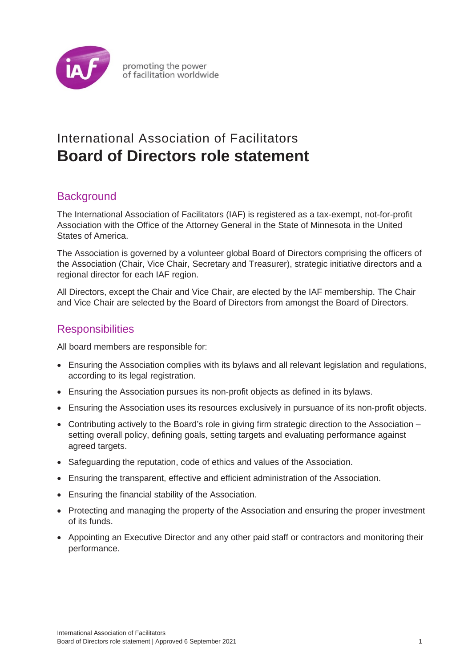

## International Association of Facilitators **Board of Directors role statement**

## **Background**

The International Association of Facilitators (IAF) is registered as a tax-exempt, not-for-profit Association with the Office of the Attorney General in the State of Minnesota in the United States of America.

The Association is governed by a volunteer global Board of Directors comprising the officers of the Association (Chair, Vice Chair, Secretary and Treasurer), strategic initiative directors and a regional director for each IAF region.

All Directors, except the Chair and Vice Chair, are elected by the IAF membership. The Chair and Vice Chair are selected by the Board of Directors from amongst the Board of Directors.

## **Responsibilities**

All board members are responsible for:

- Ensuring the Association complies with its bylaws and all relevant legislation and regulations, according to its legal registration.
- Ensuring the Association pursues its non-profit objects as defined in its bylaws.
- Ensuring the Association uses its resources exclusively in pursuance of its non-profit objects.
- Contributing actively to the Board's role in giving firm strategic direction to the Association setting overall policy, defining goals, setting targets and evaluating performance against agreed targets.
- Safeguarding the reputation, code of ethics and values of the Association.
- Ensuring the transparent, effective and efficient administration of the Association.
- Ensuring the financial stability of the Association.
- Protecting and managing the property of the Association and ensuring the proper investment of its funds.
- Appointing an Executive Director and any other paid staff or contractors and monitoring their performance.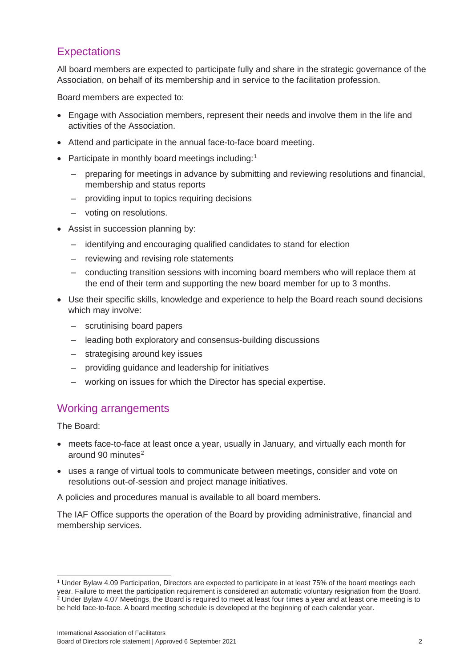## **Expectations**

All board members are expected to participate fully and share in the strategic governance of the Association, on behalf of its membership and in service to the facilitation profession.

Board members are expected to:

- Engage with Association members, represent their needs and involve them in the life and activities of the Association.
- Attend and participate in the annual face-to-face board meeting.
- Participate in monthly board meetings including:<sup>[1](#page-1-0)</sup>
	- ‒ preparing for meetings in advance by submitting and reviewing resolutions and financial, membership and status reports
	- ‒ providing input to topics requiring decisions
	- voting on resolutions.
- Assist in succession planning by:
	- ‒ identifying and encouraging qualified candidates to stand for election
	- ‒ reviewing and revising role statements
	- conducting transition sessions with incoming board members who will replace them at the end of their term and supporting the new board member for up to 3 months.
- Use their specific skills, knowledge and experience to help the Board reach sound decisions which may involve:
	- scrutinising board papers
	- ‒ leading both exploratory and consensus-building discussions
	- strategising around key issues
	- ‒ providing guidance and leadership for initiatives
	- ‒ working on issues for which the Director has special expertise.

### Working arrangements

The Board:

- meets face-to-face at least once a year, usually in January, and virtually each month for around 90 minutes $2$
- uses a range of virtual tools to communicate between meetings, consider and vote on resolutions out-of-session and project manage initiatives.

A policies and procedures manual is available to all board members.

The IAF Office supports the operation of the Board by providing administrative, financial and membership services.

<span id="page-1-1"></span><span id="page-1-0"></span><sup>1</sup> Under Bylaw 4.09 Participation, Directors are expected to participate in at least 75% of the board meetings each year. Failure to meet the participation requirement is considered an automatic voluntary resignation from the Board.<br><sup>2</sup> Under Bylaw 4.07 Meetings, the Board is required to meet at least four times a year and at least one be held face-to-face. A board meeting schedule is developed at the beginning of each calendar year.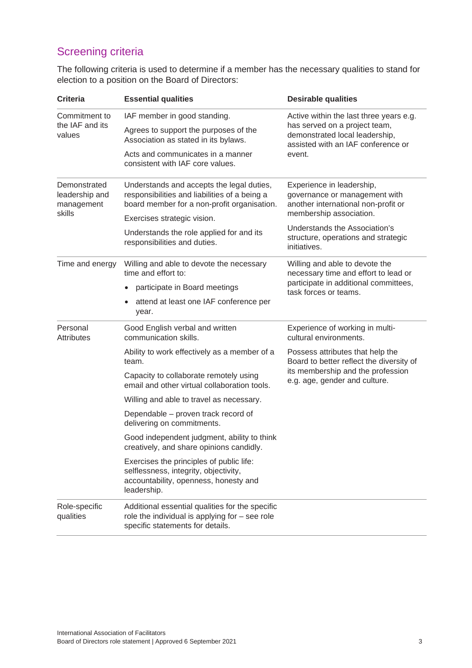The following criteria is used to determine if a member has the necessary qualities to stand for election to a position on the Board of Directors:

| <b>Criteria</b>                                        | <b>Essential qualities</b>                                                                                                                | <b>Desirable qualities</b>                                                                                                                       |
|--------------------------------------------------------|-------------------------------------------------------------------------------------------------------------------------------------------|--------------------------------------------------------------------------------------------------------------------------------------------------|
| Commitment to<br>the IAF and its<br>values             | IAF member in good standing.                                                                                                              | Active within the last three years e.g.<br>has served on a project team,<br>demonstrated local leadership,<br>assisted with an IAF conference or |
|                                                        | Agrees to support the purposes of the<br>Association as stated in its bylaws.                                                             |                                                                                                                                                  |
|                                                        | Acts and communicates in a manner<br>consistent with IAF core values.                                                                     | event.                                                                                                                                           |
| Demonstrated<br>leadership and<br>management<br>skills | Understands and accepts the legal duties,<br>responsibilities and liabilities of a being a<br>board member for a non-profit organisation. | Experience in leadership,<br>governance or management with<br>another international non-profit or<br>membership association.                     |
|                                                        | Exercises strategic vision.                                                                                                               | Understands the Association's                                                                                                                    |
|                                                        | Understands the role applied for and its<br>responsibilities and duties.                                                                  | structure, operations and strategic<br>initiatives.                                                                                              |
| Time and energy                                        | Willing and able to devote the necessary<br>time and effort to:                                                                           | Willing and able to devote the<br>necessary time and effort to lead or                                                                           |
|                                                        | participate in Board meetings                                                                                                             | participate in additional committees,<br>task forces or teams.                                                                                   |
|                                                        | attend at least one IAF conference per<br>year.                                                                                           |                                                                                                                                                  |
| Personal<br><b>Attributes</b>                          | Good English verbal and written<br>communication skills.                                                                                  | Experience of working in multi-<br>cultural environments.                                                                                        |
|                                                        | Ability to work effectively as a member of a<br>team.                                                                                     | Possess attributes that help the<br>Board to better reflect the diversity of                                                                     |
|                                                        | Capacity to collaborate remotely using<br>email and other virtual collaboration tools.                                                    | its membership and the profession<br>e.g. age, gender and culture.                                                                               |
|                                                        | Willing and able to travel as necessary.                                                                                                  |                                                                                                                                                  |
|                                                        | Dependable – proven track record of<br>delivering on commitments.                                                                         |                                                                                                                                                  |
|                                                        | Good independent judgment, ability to think<br>creatively, and share opinions candidly.                                                   |                                                                                                                                                  |
|                                                        | Exercises the principles of public life:<br>selflessness, integrity, objectivity,<br>accountability, openness, honesty and<br>leadership. |                                                                                                                                                  |
| Role-specific<br>qualities                             | Additional essential qualities for the specific<br>role the individual is applying for $-$ see role<br>specific statements for details.   |                                                                                                                                                  |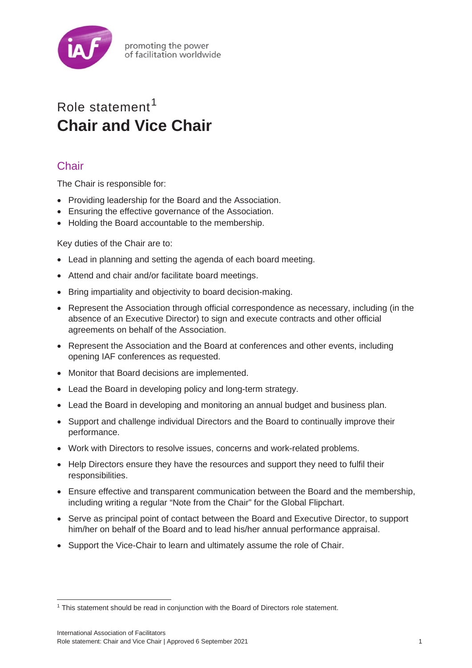

# Role statement<sup>[1](#page-3-0)</sup> **Chair and Vice Chair**

## **Chair**

The Chair is responsible for:

- Providing leadership for the Board and the Association.
- Ensuring the effective governance of the Association.
- Holding the Board accountable to the membership.

Key duties of the Chair are to:

- Lead in planning and setting the agenda of each board meeting.
- Attend and chair and/or facilitate board meetings.
- Bring impartiality and objectivity to board decision-making.
- Represent the Association through official correspondence as necessary, including (in the absence of an Executive Director) to sign and execute contracts and other official agreements on behalf of the Association.
- Represent the Association and the Board at conferences and other events, including opening IAF conferences as requested.
- Monitor that Board decisions are implemented.
- Lead the Board in developing policy and long-term strategy.
- Lead the Board in developing and monitoring an annual budget and business plan.
- Support and challenge individual Directors and the Board to continually improve their performance.
- Work with Directors to resolve issues, concerns and work-related problems.
- Help Directors ensure they have the resources and support they need to fulfil their responsibilities.
- Ensure effective and transparent communication between the Board and the membership, including writing a regular "Note from the Chair" for the Global Flipchart.
- Serve as principal point of contact between the Board and Executive Director, to support him/her on behalf of the Board and to lead his/her annual performance appraisal.
- Support the Vice-Chair to learn and ultimately assume the role of Chair.

<span id="page-3-0"></span><sup>&</sup>lt;sup>1</sup> This statement should be read in conjunction with the Board of Directors role statement.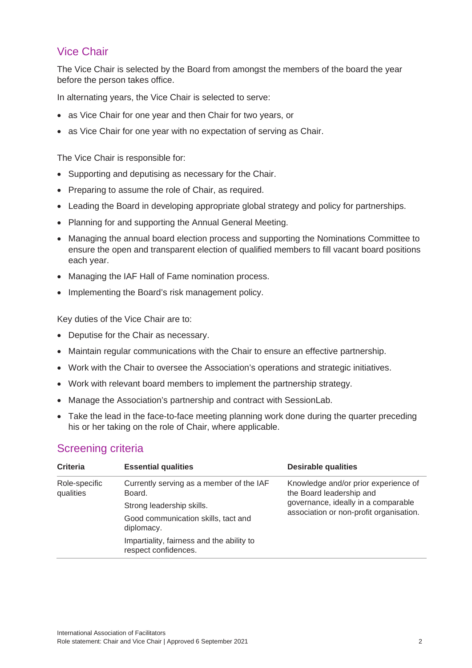## Vice Chair

The Vice Chair is selected by the Board from amongst the members of the board the year before the person takes office.

In alternating years, the Vice Chair is selected to serve:

- as Vice Chair for one year and then Chair for two years, or
- as Vice Chair for one year with no expectation of serving as Chair.

The Vice Chair is responsible for:

- Supporting and deputising as necessary for the Chair.
- Preparing to assume the role of Chair, as required.
- Leading the Board in developing appropriate global strategy and policy for partnerships.
- Planning for and supporting the Annual General Meeting.
- Managing the annual board election process and supporting the Nominations Committee to ensure the open and transparent election of qualified members to fill vacant board positions each year.
- Managing the IAF Hall of Fame nomination process.
- Implementing the Board's risk management policy.

Key duties of the Vice Chair are to:

- Deputise for the Chair as necessary.
- Maintain regular communications with the Chair to ensure an effective partnership.
- Work with the Chair to oversee the Association's operations and strategic initiatives.
- Work with relevant board members to implement the partnership strategy.
- Manage the Association's partnership and contract with SessionLab.
- Take the lead in the face-to-face meeting planning work done during the quarter preceding his or her taking on the role of Chair, where applicable.

| <b>Criteria</b>            | <b>Essential qualities</b>                                        | <b>Desirable qualities</b>                                                                                                                         |
|----------------------------|-------------------------------------------------------------------|----------------------------------------------------------------------------------------------------------------------------------------------------|
| Role-specific<br>qualities | Currently serving as a member of the IAF<br>Board.                | Knowledge and/or prior experience of<br>the Board leadership and<br>governance, ideally in a comparable<br>association or non-profit organisation. |
|                            | Strong leadership skills.                                         |                                                                                                                                                    |
|                            | Good communication skills, tact and<br>diplomacy.                 |                                                                                                                                                    |
|                            | Impartiality, fairness and the ability to<br>respect confidences. |                                                                                                                                                    |
|                            |                                                                   |                                                                                                                                                    |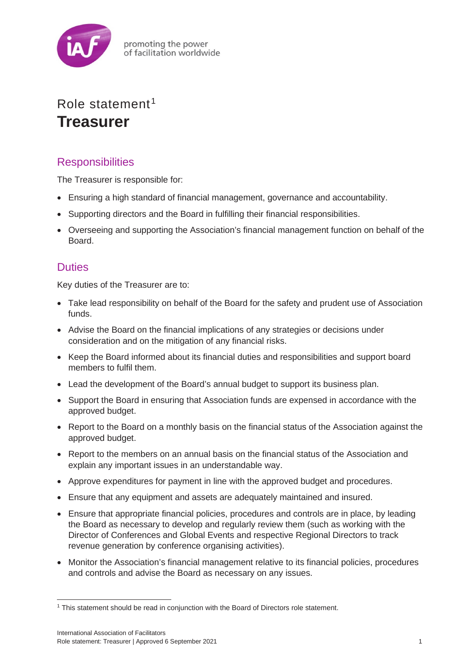

## Role statement [1](#page-5-0) **Treasurer**

## **Responsibilities**

The Treasurer is responsible for:

- Ensuring a high standard of financial management, governance and accountability.
- Supporting directors and the Board in fulfilling their financial responsibilities.
- Overseeing and supporting the Association's financial management function on behalf of the Board.

## **Duties**

Key duties of the Treasurer are to:

- Take lead responsibility on behalf of the Board for the safety and prudent use of Association funds.
- Advise the Board on the financial implications of any strategies or decisions under consideration and on the mitigation of any financial risks.
- Keep the Board informed about its financial duties and responsibilities and support board members to fulfil them.
- Lead the development of the Board's annual budget to support its business plan.
- Support the Board in ensuring that Association funds are expensed in accordance with the approved budget.
- Report to the Board on a monthly basis on the financial status of the Association against the approved budget.
- Report to the members on an annual basis on the financial status of the Association and explain any important issues in an understandable way.
- Approve expenditures for payment in line with the approved budget and procedures.
- Ensure that any equipment and assets are adequately maintained and insured.
- Ensure that appropriate financial policies, procedures and controls are in place, by leading the Board as necessary to develop and regularly review them (such as working with the Director of Conferences and Global Events and respective Regional Directors to track revenue generation by conference organising activities).
- Monitor the Association's financial management relative to its financial policies, procedures and controls and advise the Board as necessary on any issues.

<span id="page-5-0"></span><sup>&</sup>lt;sup>1</sup> This statement should be read in conjunction with the Board of Directors role statement.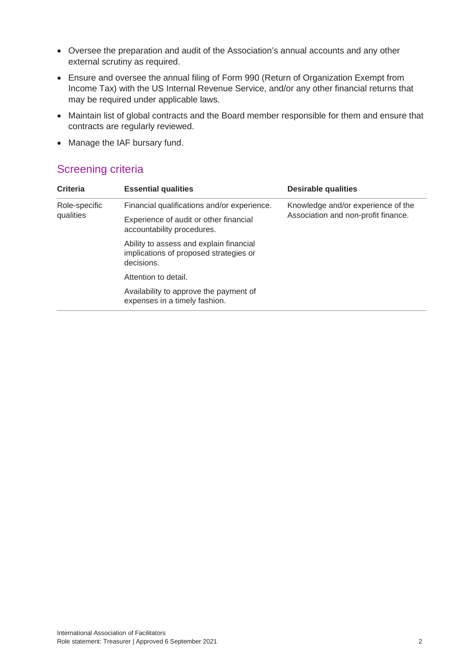- Oversee the preparation and audit of the Association's annual accounts and any other external scrutiny as required.
- Ensure and oversee the annual filing of Form 990 (Return of Organization Exempt from Income Tax) with the US Internal Revenue Service, and/or any other financial returns that may be required under applicable laws.
- Maintain list of global contracts and the Board member responsible for them and ensure that contracts are regularly reviewed.
- Manage the IAF bursary fund.

| <b>Criteria</b>            | <b>Essential qualities</b>                                                                      | <b>Desirable qualities</b>          |
|----------------------------|-------------------------------------------------------------------------------------------------|-------------------------------------|
| Role-specific<br>qualities | Financial qualifications and/or experience.                                                     | Knowledge and/or experience of the  |
|                            | Experience of audit or other financial<br>accountability procedures.                            | Association and non-profit finance. |
|                            | Ability to assess and explain financial<br>implications of proposed strategies or<br>decisions. |                                     |
|                            | Attention to detail.                                                                            |                                     |
|                            | Availability to approve the payment of<br>expenses in a timely fashion.                         |                                     |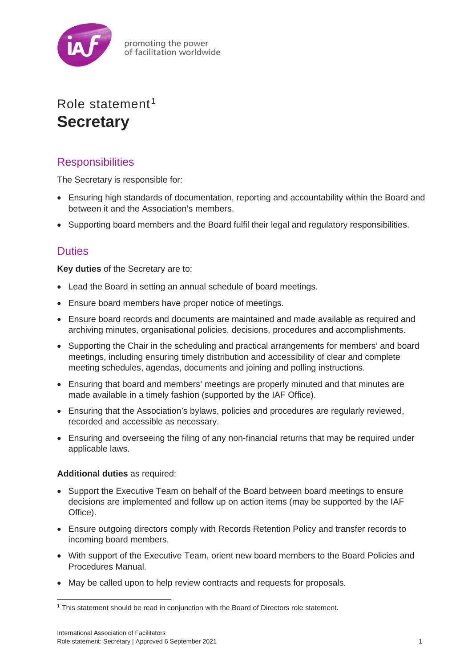

promoting the power of facilitation worldwide

## Role statement<sup>[1](#page-7-0)</sup> **Secretary**

## **Responsibilities**

The Secretary is responsible for:

- Ensuring high standards of documentation, reporting and accountability within the Board and between it and the Association's members.
- Supporting board members and the Board fulfil their legal and regulatory responsibilities.

### **Duties**

**Key duties** of the Secretary are to:

- Lead the Board in setting an annual schedule of board meetings.
- Ensure board members have proper notice of meetings.
- Ensure board records and documents are maintained and made available as required and archiving minutes, organisational policies, decisions, procedures and accomplishments.
- Supporting the Chair in the scheduling and practical arrangements for members' and board meetings, including ensuring timely distribution and accessibility of clear and complete meeting schedules, agendas, documents and joining and polling instructions.
- Ensuring that board and members' meetings are properly minuted and that minutes are made available in a timely fashion (supported by the IAF Office).
- Ensuring that the Association's bylaws, policies and procedures are regularly reviewed, recorded and accessible as necessary.
- Ensuring and overseeing the filing of any non-financial returns that may be required under applicable laws.

#### **Additional duties** as required:

- Support the Executive Team on behalf of the Board between board meetings to ensure decisions are implemented and follow up on action items (may be supported by the IAF Office).
- Ensure outgoing directors comply with Records Retention Policy and transfer records to incoming board members.
- With support of the Executive Team, orient new board members to the Board Policies and Procedures Manual.
- May be called upon to help review contracts and requests for proposals.

<span id="page-7-0"></span><sup>&</sup>lt;sup>1</sup> This statement should be read in conjunction with the Board of Directors role statement.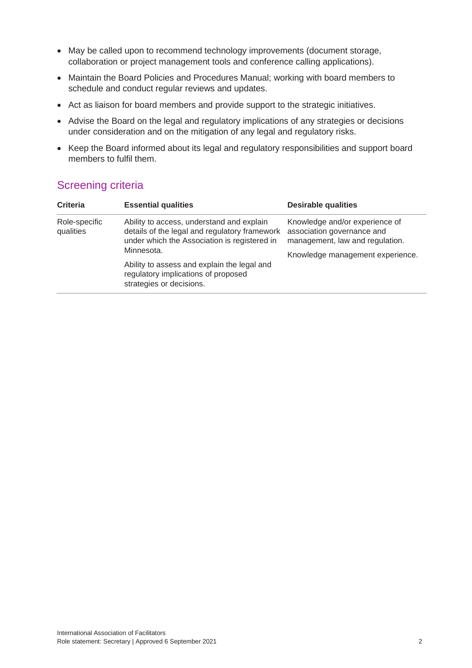- May be called upon to recommend technology improvements (document storage, collaboration or project management tools and conference calling applications).
- Maintain the Board Policies and Procedures Manual; working with board members to schedule and conduct regular reviews and updates.
- Act as liaison for board members and provide support to the strategic initiatives.
- Advise the Board on the legal and regulatory implications of any strategies or decisions under consideration and on the mitigation of any legal and regulatory risks.
- Keep the Board informed about its legal and regulatory responsibilities and support board members to fulfil them.

| <b>Screening criteria</b> |  |
|---------------------------|--|
|---------------------------|--|

| <b>Criteria</b>            | <b>Essential qualities</b>                                                                                                                                                                                                                                                 | <b>Desirable qualities</b>                                                                                                          |
|----------------------------|----------------------------------------------------------------------------------------------------------------------------------------------------------------------------------------------------------------------------------------------------------------------------|-------------------------------------------------------------------------------------------------------------------------------------|
| Role-specific<br>qualities | Ability to access, understand and explain<br>details of the legal and regulatory framework<br>under which the Association is registered in<br>Minnesota.<br>Ability to assess and explain the legal and<br>regulatory implications of proposed<br>strategies or decisions. | Knowledge and/or experience of<br>association governance and<br>management, law and regulation.<br>Knowledge management experience. |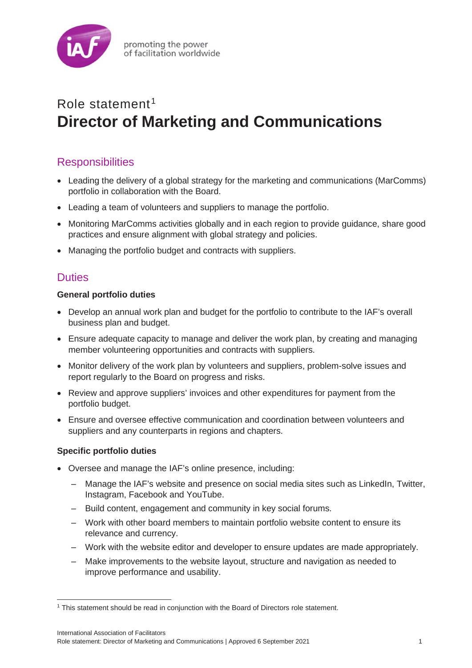

# Role statement [1](#page-9-0) **Director of Marketing and Communications**

## **Responsibilities**

- Leading the delivery of a global strategy for the marketing and communications (MarComms) portfolio in collaboration with the Board.
- Leading a team of volunteers and suppliers to manage the portfolio.
- Monitoring MarComms activities globally and in each region to provide guidance, share good practices and ensure alignment with global strategy and policies.
- Managing the portfolio budget and contracts with suppliers.

### **Duties**

#### **General portfolio duties**

- Develop an annual work plan and budget for the portfolio to contribute to the IAF's overall business plan and budget.
- Ensure adequate capacity to manage and deliver the work plan, by creating and managing member volunteering opportunities and contracts with suppliers.
- Monitor delivery of the work plan by volunteers and suppliers, problem-solve issues and report regularly to the Board on progress and risks.
- Review and approve suppliers' invoices and other expenditures for payment from the portfolio budget.
- Ensure and oversee effective communication and coordination between volunteers and suppliers and any counterparts in regions and chapters.

#### **Specific portfolio duties**

- Oversee and manage the IAF's online presence, including:
	- ‒ Manage the IAF's website and presence on social media sites such as LinkedIn, Twitter, Instagram, Facebook and YouTube.
	- ‒ Build content, engagement and community in key social forums.
	- ‒ Work with other board members to maintain portfolio website content to ensure its relevance and currency.
	- ‒ Work with the website editor and developer to ensure updates are made appropriately.
	- ‒ Make improvements to the website layout, structure and navigation as needed to improve performance and usability.

<span id="page-9-0"></span><sup>1</sup> This statement should be read in conjunction with the Board of Directors role statement.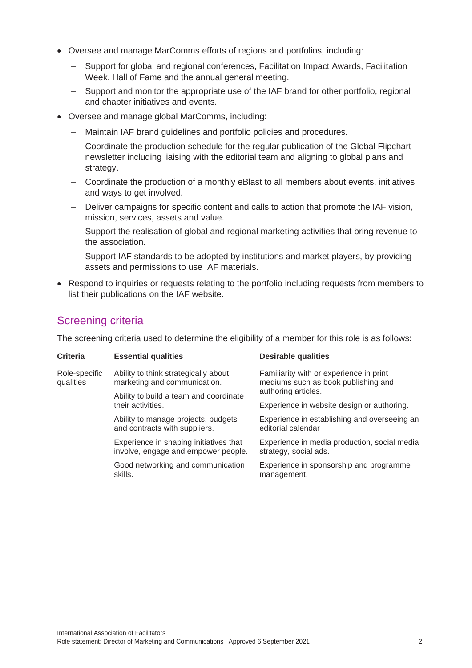- Oversee and manage MarComms efforts of regions and portfolios, including:
	- Support for global and regional conferences, Facilitation Impact Awards, Facilitation Week, Hall of Fame and the annual general meeting.
	- ‒ Support and monitor the appropriate use of the IAF brand for other portfolio, regional and chapter initiatives and events.
- Oversee and manage global MarComms, including:
	- ‒ Maintain IAF brand guidelines and portfolio policies and procedures.
	- ‒ Coordinate the production schedule for the regular publication of the Global Flipchart newsletter including liaising with the editorial team and aligning to global plans and strategy.
	- ‒ Coordinate the production of a monthly eBlast to all members about events, initiatives and ways to get involved.
	- ‒ Deliver campaigns for specific content and calls to action that promote the IAF vision, mission, services, assets and value.
	- ‒ Support the realisation of global and regional marketing activities that bring revenue to the association.
	- ‒ Support IAF standards to be adopted by institutions and market players, by providing assets and permissions to use IAF materials.
- Respond to inquiries or requests relating to the portfolio including requests from members to list their publications on the IAF website.

The screening criteria used to determine the eligibility of a member for this role is as follows:

| <b>Criteria</b>            | <b>Essential qualities</b>                                                    | <b>Desirable qualities</b>                                                     |
|----------------------------|-------------------------------------------------------------------------------|--------------------------------------------------------------------------------|
| Role-specific<br>qualities | Ability to think strategically about<br>marketing and communication.          | Familiarity with or experience in print<br>mediums such as book publishing and |
|                            | Ability to build a team and coordinate                                        | authoring articles.                                                            |
|                            | their activities.                                                             | Experience in website design or authoring.                                     |
|                            | Ability to manage projects, budgets<br>and contracts with suppliers.          | Experience in establishing and overseeing an<br>editorial calendar             |
|                            | Experience in shaping initiatives that<br>involve, engage and empower people. | Experience in media production, social media<br>strategy, social ads.          |
|                            | Good networking and communication<br>skills.                                  | Experience in sponsorship and programme<br>management.                         |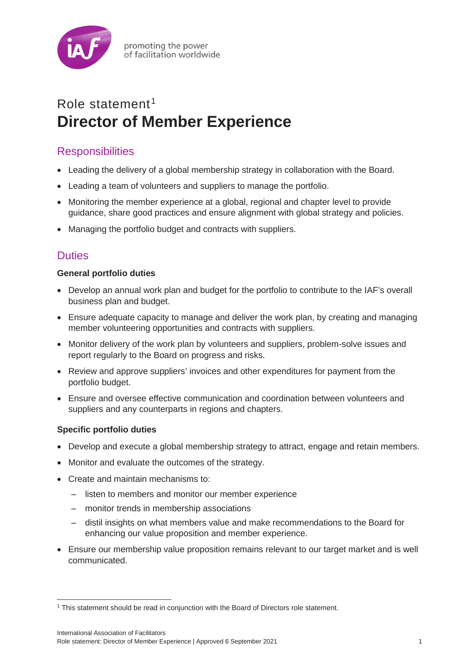

# Role statement [1](#page-11-0) **Director of Member Experience**

## **Responsibilities**

- Leading the delivery of a global membership strategy in collaboration with the Board.
- Leading a team of volunteers and suppliers to manage the portfolio.
- Monitoring the member experience at a global, regional and chapter level to provide guidance, share good practices and ensure alignment with global strategy and policies.
- Managing the portfolio budget and contracts with suppliers.

## **Duties**

#### **General portfolio duties**

- Develop an annual work plan and budget for the portfolio to contribute to the IAF's overall business plan and budget.
- Ensure adequate capacity to manage and deliver the work plan, by creating and managing member volunteering opportunities and contracts with suppliers.
- Monitor delivery of the work plan by volunteers and suppliers, problem-solve issues and report regularly to the Board on progress and risks.
- Review and approve suppliers' invoices and other expenditures for payment from the portfolio budget.
- Ensure and oversee effective communication and coordination between volunteers and suppliers and any counterparts in regions and chapters.

#### **Specific portfolio duties**

- Develop and execute a global membership strategy to attract, engage and retain members.
- Monitor and evaluate the outcomes of the strategy.
- Create and maintain mechanisms to:
	- listen to members and monitor our member experience
	- ‒ monitor trends in membership associations
	- ‒ distil insights on what members value and make recommendations to the Board for enhancing our value proposition and member experience.
- Ensure our membership value proposition remains relevant to our target market and is well communicated.

<span id="page-11-0"></span><sup>1</sup> This statement should be read in conjunction with the Board of Directors role statement.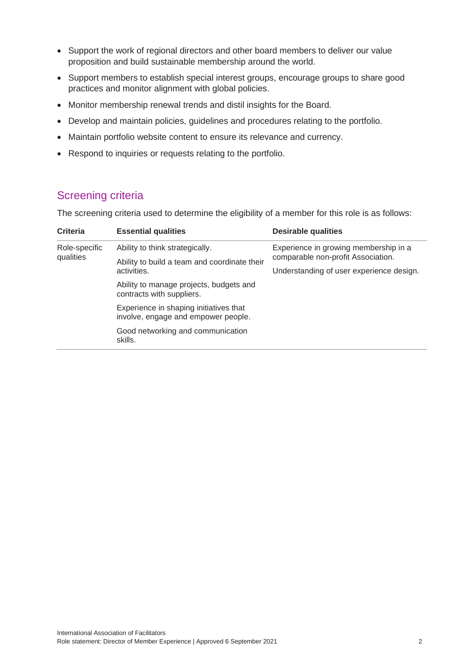- Support the work of regional directors and other board members to deliver our value proposition and build sustainable membership around the world.
- Support members to establish special interest groups, encourage groups to share good practices and monitor alignment with global policies.
- Monitor membership renewal trends and distil insights for the Board.
- Develop and maintain policies, guidelines and procedures relating to the portfolio.
- Maintain portfolio website content to ensure its relevance and currency.
- Respond to inquiries or requests relating to the portfolio.

The screening criteria used to determine the eligibility of a member for this role is as follows:

| <b>Criteria</b>            | <b>Essential qualities</b>                                                    | <b>Desirable qualities</b>               |  |
|----------------------------|-------------------------------------------------------------------------------|------------------------------------------|--|
| Role-specific<br>qualities | Ability to think strategically.                                               | Experience in growing membership in a    |  |
|                            | Ability to build a team and coordinate their<br>activities.                   | comparable non-profit Association.       |  |
|                            |                                                                               | Understanding of user experience design. |  |
|                            | Ability to manage projects, budgets and<br>contracts with suppliers.          |                                          |  |
|                            | Experience in shaping initiatives that<br>involve, engage and empower people. |                                          |  |
|                            | Good networking and communication<br>skills.                                  |                                          |  |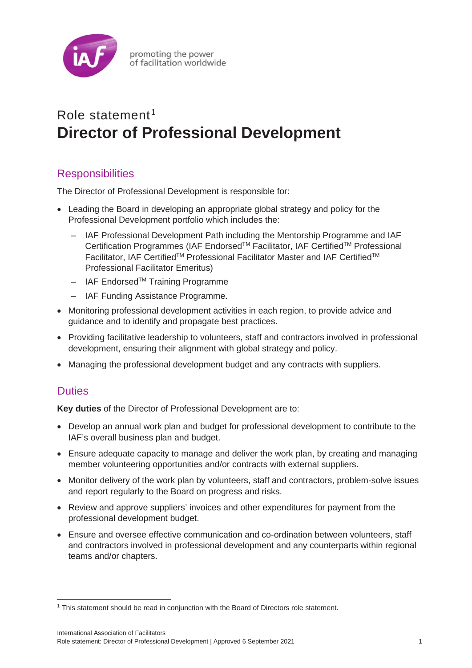

promoting the power of facilitation worldwide

# Role statement<sup>[1](#page-13-0)</sup> **Director of Professional Development**

## **Responsibilities**

The Director of Professional Development is responsible for:

- Leading the Board in developing an appropriate global strategy and policy for the Professional Development portfolio which includes the:
	- ‒ IAF Professional Development Path including the Mentorship Programme and IAF Certification Programmes (IAF Endorsed<sup>™</sup> Facilitator, IAF Certified<sup>™</sup> Professional Facilitator, IAF Certified™ Professional Facilitator Master and IAF Certified<sup>™</sup> Professional Facilitator Emeritus)
	- $-$  IAF Endorsed<sup>TM</sup> Training Programme
	- ‒ IAF Funding Assistance Programme.
- Monitoring professional development activities in each region, to provide advice and guidance and to identify and propagate best practices.
- Providing facilitative leadership to volunteers, staff and contractors involved in professional development, ensuring their alignment with global strategy and policy.
- Managing the professional development budget and any contracts with suppliers.

### **Duties**

**Key duties** of the Director of Professional Development are to:

- Develop an annual work plan and budget for professional development to contribute to the IAF's overall business plan and budget.
- Ensure adequate capacity to manage and deliver the work plan, by creating and managing member volunteering opportunities and/or contracts with external suppliers.
- Monitor delivery of the work plan by volunteers, staff and contractors, problem-solve issues and report regularly to the Board on progress and risks.
- Review and approve suppliers' invoices and other expenditures for payment from the professional development budget.
- Ensure and oversee effective communication and co-ordination between volunteers, staff and contractors involved in professional development and any counterparts within regional teams and/or chapters.

<span id="page-13-0"></span><sup>1</sup> This statement should be read in conjunction with the Board of Directors role statement.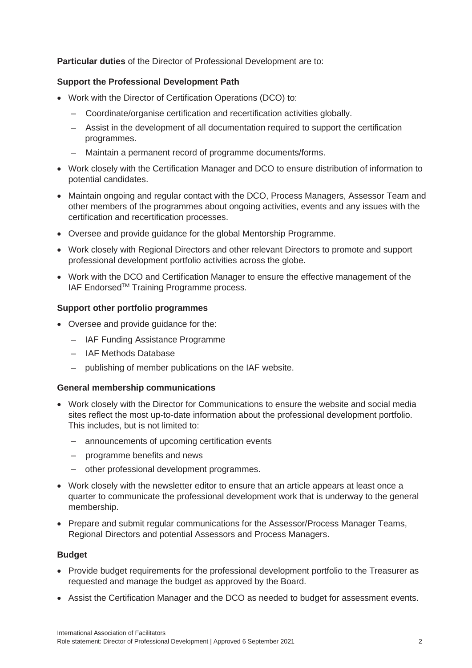**Particular duties** of the Director of Professional Development are to:

#### **Support the Professional Development Path**

- Work with the Director of Certification Operations (DCO) to:
	- ‒ Coordinate/organise certification and recertification activities globally.
	- ‒ Assist in the development of all documentation required to support the certification programmes.
	- ‒ Maintain a permanent record of programme documents/forms.
- Work closely with the Certification Manager and DCO to ensure distribution of information to potential candidates.
- Maintain ongoing and regular contact with the DCO, Process Managers, Assessor Team and other members of the programmes about ongoing activities, events and any issues with the certification and recertification processes.
- Oversee and provide guidance for the global Mentorship Programme.
- Work closely with Regional Directors and other relevant Directors to promote and support professional development portfolio activities across the globe.
- Work with the DCO and Certification Manager to ensure the effective management of the IAF Endorsed™ Training Programme process.

#### **Support other portfolio programmes**

- Oversee and provide guidance for the:
	- IAF Funding Assistance Programme
	- ‒ IAF Methods Database
	- publishing of member publications on the IAF website.

#### **General membership communications**

- Work closely with the Director for Communications to ensure the website and social media sites reflect the most up-to-date information about the professional development portfolio. This includes, but is not limited to:
	- ‒ announcements of upcoming certification events
	- ‒ programme benefits and news
	- ‒ other professional development programmes.
- Work closely with the newsletter editor to ensure that an article appears at least once a quarter to communicate the professional development work that is underway to the general membership.
- Prepare and submit regular communications for the Assessor/Process Manager Teams, Regional Directors and potential Assessors and Process Managers.

#### **Budget**

- Provide budget requirements for the professional development portfolio to the Treasurer as requested and manage the budget as approved by the Board.
- Assist the Certification Manager and the DCO as needed to budget for assessment events.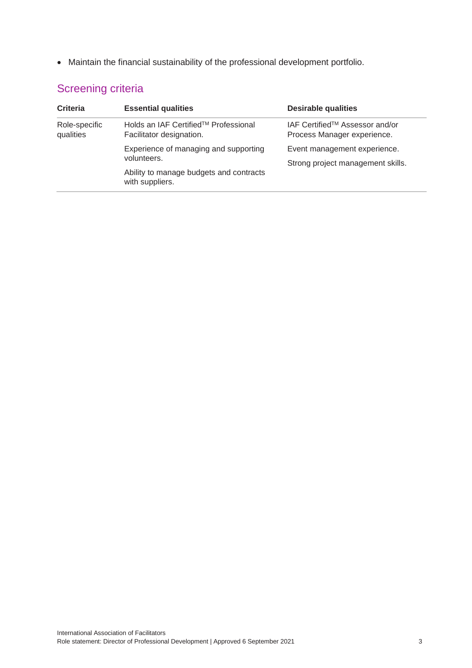• Maintain the financial sustainability of the professional development portfolio.

| <b>Criteria</b>            | <b>Essential qualities</b>                                                                                         | <b>Desirable qualities</b>                                        |
|----------------------------|--------------------------------------------------------------------------------------------------------------------|-------------------------------------------------------------------|
| Role-specific<br>qualities | Holds an IAF Certified™ Professional<br>Facilitator designation.                                                   | IAF Certified™ Assessor and/or<br>Process Manager experience.     |
|                            | Experience of managing and supporting<br>volunteers.<br>Ability to manage budgets and contracts<br>with suppliers. | Event management experience.<br>Strong project management skills. |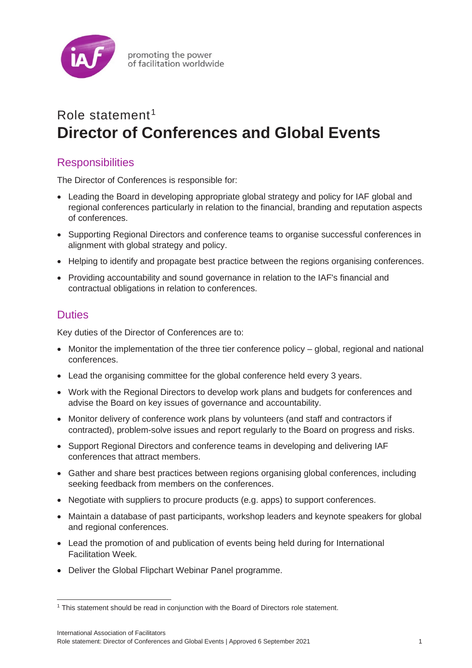

# Role statement<sup>[1](#page-16-0)</sup> **Director of Conferences and Global Events**

## **Responsibilities**

The Director of Conferences is responsible for:

- Leading the Board in developing appropriate global strategy and policy for IAF global and regional conferences particularly in relation to the financial, branding and reputation aspects of conferences.
- Supporting Regional Directors and conference teams to organise successful conferences in alignment with global strategy and policy.
- Helping to identify and propagate best practice between the regions organising conferences.
- Providing accountability and sound governance in relation to the IAF's financial and contractual obligations in relation to conferences.

## **Duties**

Key duties of the Director of Conferences are to:

- Monitor the implementation of the three tier conference policy global, regional and national conferences.
- Lead the organising committee for the global conference held every 3 years.
- Work with the Regional Directors to develop work plans and budgets for conferences and advise the Board on key issues of governance and accountability.
- Monitor delivery of conference work plans by volunteers (and staff and contractors if contracted), problem-solve issues and report regularly to the Board on progress and risks.
- Support Regional Directors and conference teams in developing and delivering IAF conferences that attract members.
- Gather and share best practices between regions organising global conferences, including seeking feedback from members on the conferences.
- Negotiate with suppliers to procure products (e.g. apps) to support conferences.
- Maintain a database of past participants, workshop leaders and keynote speakers for global and regional conferences.
- Lead the promotion of and publication of events being held during for International Facilitation Week.
- Deliver the Global Flipchart Webinar Panel programme.

<span id="page-16-0"></span><sup>1</sup> This statement should be read in conjunction with the Board of Directors role statement.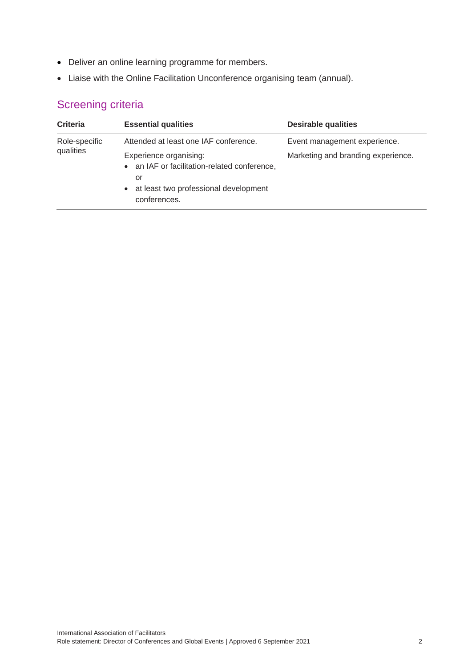- Deliver an online learning programme for members.
- Liaise with the Online Facilitation Unconference organising team (annual).

| <b>Criteria</b>            | <b>Essential qualities</b>                                                                                                              | <b>Desirable qualities</b>         |
|----------------------------|-----------------------------------------------------------------------------------------------------------------------------------------|------------------------------------|
| Role-specific<br>qualities | Attended at least one IAF conference.                                                                                                   | Event management experience.       |
|                            | Experience organising:<br>• an IAF or facilitation-related conference,<br>or<br>• at least two professional development<br>conferences. | Marketing and branding experience. |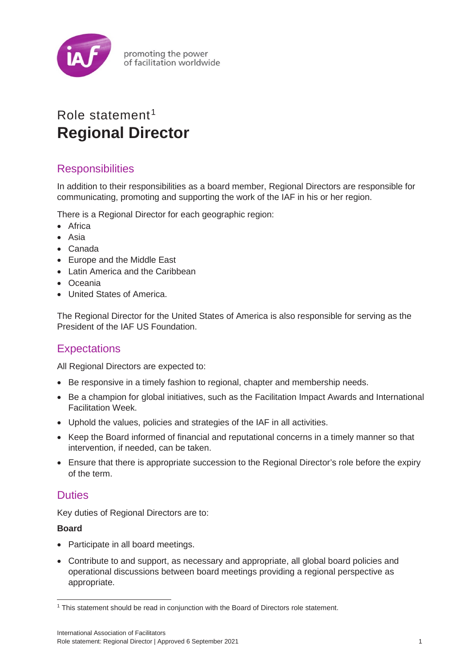

promoting the power of facilitation worldwide

## Role statement<sup>[1](#page-18-0)</sup> **Regional Director**

## **Responsibilities**

In addition to their responsibilities as a board member, Regional Directors are responsible for communicating, promoting and supporting the work of the IAF in his or her region.

There is a Regional Director for each geographic region:

- Africa
- Asia
- Canada
- Europe and the Middle East
- Latin America and the Caribbean
- Oceania
- United States of America.

The Regional Director for the United States of America is also responsible for serving as the President of the IAF US Foundation.

## **Expectations**

All Regional Directors are expected to:

- Be responsive in a timely fashion to regional, chapter and membership needs.
- Be a champion for global initiatives, such as the Facilitation Impact Awards and International Facilitation Week.
- Uphold the values, policies and strategies of the IAF in all activities.
- Keep the Board informed of financial and reputational concerns in a timely manner so that intervention, if needed, can be taken.
- Ensure that there is appropriate succession to the Regional Director's role before the expiry of the term.

### **Duties**

Key duties of Regional Directors are to:

#### **Board**

- Participate in all board meetings.
- Contribute to and support, as necessary and appropriate, all global board policies and operational discussions between board meetings providing a regional perspective as appropriate.

<span id="page-18-0"></span><sup>&</sup>lt;sup>1</sup> This statement should be read in conjunction with the Board of Directors role statement.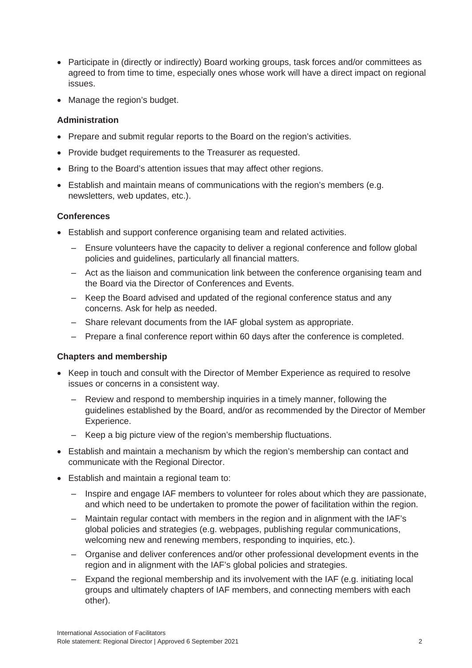- Participate in (directly or indirectly) Board working groups, task forces and/or committees as agreed to from time to time, especially ones whose work will have a direct impact on regional issues.
- Manage the region's budget.

#### **Administration**

- Prepare and submit regular reports to the Board on the region's activities.
- Provide budget requirements to the Treasurer as requested.
- Bring to the Board's attention issues that may affect other regions.
- Establish and maintain means of communications with the region's members (e.g. newsletters, web updates, etc.).

#### **Conferences**

- Establish and support conference organising team and related activities.
	- ‒ Ensure volunteers have the capacity to deliver a regional conference and follow global policies and guidelines, particularly all financial matters.
	- Act as the liaison and communication link between the conference organising team and the Board via the Director of Conferences and Events.
	- ‒ Keep the Board advised and updated of the regional conference status and any concerns. Ask for help as needed.
	- ‒ Share relevant documents from the IAF global system as appropriate.
	- ‒ Prepare a final conference report within 60 days after the conference is completed.

#### **Chapters and membership**

- Keep in touch and consult with the Director of Member Experience as required to resolve issues or concerns in a consistent way.
	- ‒ Review and respond to membership inquiries in a timely manner, following the guidelines established by the Board, and/or as recommended by the Director of Member Experience.
	- ‒ Keep a big picture view of the region's membership fluctuations.
- Establish and maintain a mechanism by which the region's membership can contact and communicate with the Regional Director.
- Establish and maintain a regional team to:
	- ‒ Inspire and engage IAF members to volunteer for roles about which they are passionate, and which need to be undertaken to promote the power of facilitation within the region.
	- ‒ Maintain regular contact with members in the region and in alignment with the IAF's global policies and strategies (e.g. webpages, publishing regular communications, welcoming new and renewing members, responding to inquiries, etc.).
	- ‒ Organise and deliver conferences and/or other professional development events in the region and in alignment with the IAF's global policies and strategies.
	- ‒ Expand the regional membership and its involvement with the IAF (e.g. initiating local groups and ultimately chapters of IAF members, and connecting members with each other).